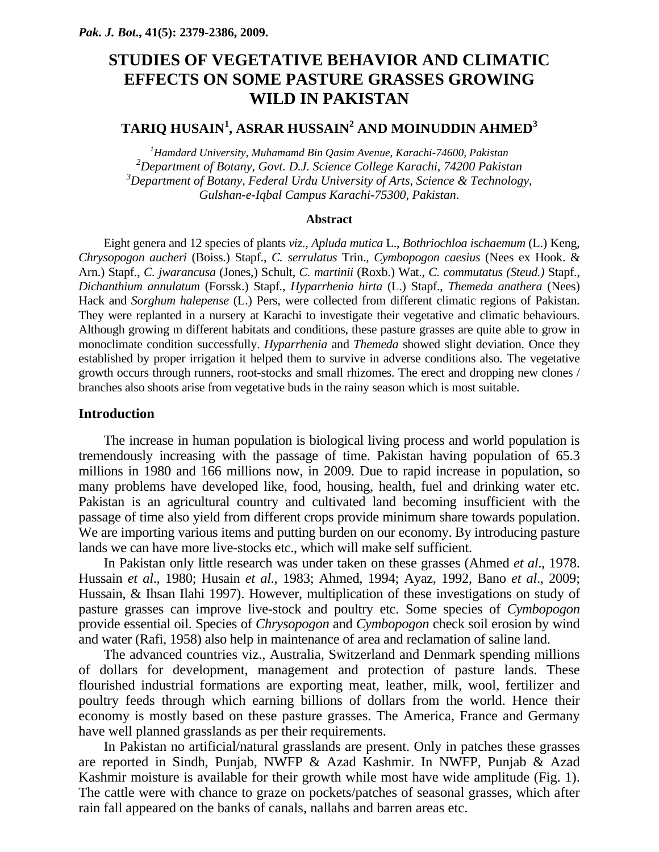# **STUDIES OF VEGETATIVE BEHAVIOR AND CLIMATIC EFFECTS ON SOME PASTURE GRASSES GROWING WILD IN PAKISTAN**

# $\mathbf{TARIQ}\ \mathbf{HUSAIN}^1, \mathbf{ASRAR}\ \mathbf{HUSSAIN}^2 \ \mathbf{AND}\ \mathbf{MOIND}\ \mathbf{DIN} \mathbf{AHMED}^3$

 *Hamdard University, Muhamamd Bin Qasim Avenue, Karachi-74600, Pakistan Department of Botany, Govt. D.J. Science College Karachi, 74200 Pakistan Department of Botany, Federal Urdu University of Arts, Science & Technology, Gulshan-e-Iqbal Campus Karachi-75300, Pakistan*.

#### **Abstract**

Eight genera and 12 species of plants *viz*., *Apluda mutica* L., *Bothriochloa ischaemum* (L.) Keng, *Chrysopogon aucheri* (Boiss.) Stapf., *C. serrulatus* Trin., *Cymbopogon caesius* (Nees ex Hook. & Arn.) Stapf., *C. jwarancusa* (Jones,) Schult, *C. martinii* (Roxb.) Wat., *C. commutatus (Steud.)* Stapf., *Dichanthium annulatum* (Forssk.) Stapf., *Hyparrhenia hirta* (L.) Stapf., *Themeda anathera* (Nees) Hack and *Sorghum halepense* (L.) Pers, were collected from different climatic regions of Pakistan. They were replanted in a nursery at Karachi to investigate their vegetative and climatic behaviours. Although growing m different habitats and conditions, these pasture grasses are quite able to grow in monoclimate condition successfully. *Hyparrhenia* and *Themeda* showed slight deviation. Once they established by proper irrigation it helped them to survive in adverse conditions also. The vegetative growth occurs through runners, root-stocks and small rhizomes. The erect and dropping new clones / branches also shoots arise from vegetative buds in the rainy season which is most suitable.

## **Introduction**

The increase in human population is biological living process and world population is tremendously increasing with the passage of time. Pakistan having population of 65.3 millions in 1980 and 166 millions now, in 2009. Due to rapid increase in population, so many problems have developed like, food, housing, health, fuel and drinking water etc. Pakistan is an agricultural country and cultivated land becoming insufficient with the passage of time also yield from different crops provide minimum share towards population. We are importing various items and putting burden on our economy. By introducing pasture lands we can have more live-stocks etc., which will make self sufficient.

In Pakistan only little research was under taken on these grasses (Ahmed *et al*., 1978. Hussain *et al*., 1980; Husain *et al*., 1983; Ahmed, 1994; Ayaz, 1992, Bano *et al*., 2009; Hussain, & Ihsan Ilahi 1997). However, multiplication of these investigations on study of pasture grasses can improve live-stock and poultry etc. Some species of *Cymbopogon* provide essential oil. Species of *Chrysopogon* and *Cymbopogon* check soil erosion by wind and water (Rafi, 1958) also help in maintenance of area and reclamation of saline land.

The advanced countries viz., Australia, Switzerland and Denmark spending millions of dollars for development, management and protection of pasture lands. These flourished industrial formations are exporting meat, leather, milk, wool, fertilizer and poultry feeds through which earning billions of dollars from the world. Hence their economy is mostly based on these pasture grasses. The America, France and Germany have well planned grasslands as per their requirements.

In Pakistan no artificial/natural grasslands are present. Only in patches these grasses are reported in Sindh, Punjab, NWFP & Azad Kashmir. In NWFP, Punjab & Azad Kashmir moisture is available for their growth while most have wide amplitude (Fig. 1). The cattle were with chance to graze on pockets/patches of seasonal grasses, which after rain fall appeared on the banks of canals, nallahs and barren areas etc.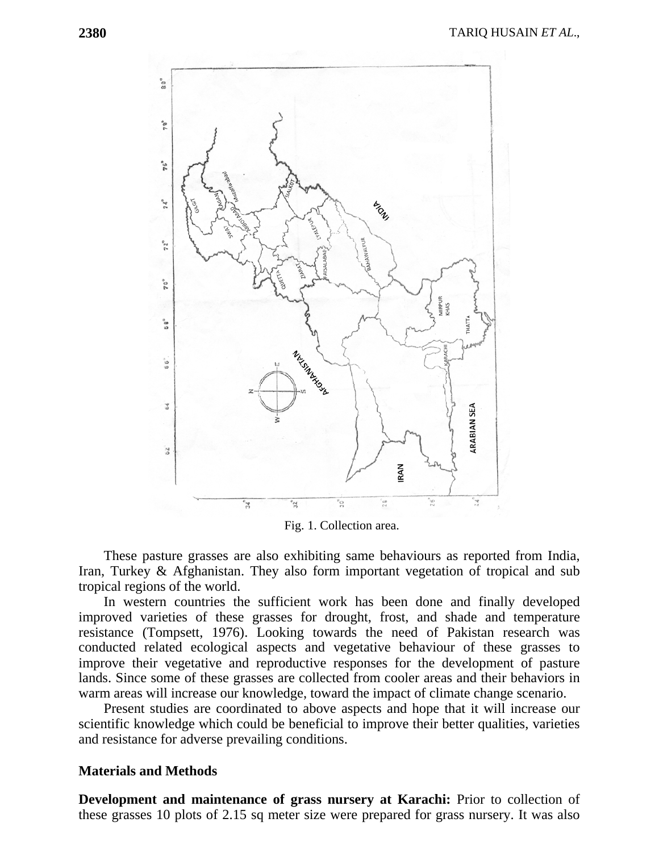

Fig. 1. Collection area.

These pasture grasses are also exhibiting same behaviours as reported from India, Iran, Turkey & Afghanistan. They also form important vegetation of tropical and sub tropical regions of the world.

In western countries the sufficient work has been done and finally developed improved varieties of these grasses for drought, frost, and shade and temperature resistance (Tompsett, 1976). Looking towards the need of Pakistan research was conducted related ecological aspects and vegetative behaviour of these grasses to improve their vegetative and reproductive responses for the development of pasture lands. Since some of these grasses are collected from cooler areas and their behaviors in warm areas will increase our knowledge, toward the impact of climate change scenario.

Present studies are coordinated to above aspects and hope that it will increase our scientific knowledge which could be beneficial to improve their better qualities, varieties and resistance for adverse prevailing conditions.

#### **Materials and Methods**

**Development and maintenance of grass nursery at Karachi:** Prior to collection of these grasses 10 plots of 2.15 sq meter size were prepared for grass nursery. It was also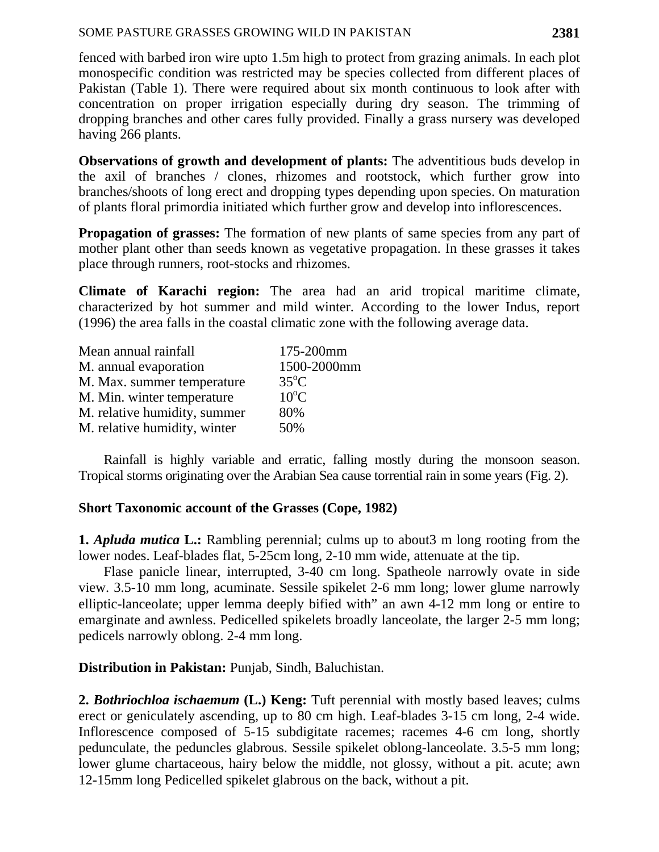fenced with barbed iron wire upto 1.5m high to protect from grazing animals. In each plot monospecific condition was restricted may be species collected from different places of Pakistan (Table 1). There were required about six month continuous to look after with concentration on proper irrigation especially during dry season. The trimming of dropping branches and other cares fully provided. Finally a grass nursery was developed having 266 plants.

**Observations of growth and development of plants:** The adventitious buds develop in the axil of branches / clones, rhizomes and rootstock, which further grow into branches/shoots of long erect and dropping types depending upon species. On maturation of plants floral primordia initiated which further grow and develop into inflorescences.

**Propagation of grasses:** The formation of new plants of same species from any part of mother plant other than seeds known as vegetative propagation. In these grasses it takes place through runners, root-stocks and rhizomes.

**Climate of Karachi region:** The area had an arid tropical maritime climate, characterized by hot summer and mild winter. According to the lower Indus, report (1996) the area falls in the coastal climatic zone with the following average data.

| Mean annual rainfall         | 175-200mm      |
|------------------------------|----------------|
| M. annual evaporation        | 1500-2000mm    |
| M. Max. summer temperature   | $35^{\circ}$ C |
| M. Min. winter temperature   | $10^{\circ}$ C |
| M. relative humidity, summer | 80%            |
| M. relative humidity, winter | 50%            |

Rainfall is highly variable and erratic, falling mostly during the monsoon season. Tropical storms originating over the Arabian Sea cause torrential rain in some years (Fig. 2).

# **Short Taxonomic account of the Grasses (Cope, 1982)**

**1.** *Apluda mutica* **L.:** Rambling perennial; culms up to about3 m long rooting from the lower nodes. Leaf-blades flat, 5-25cm long, 2-10 mm wide, attenuate at the tip.

Flase panicle linear, interrupted, 3-40 cm long. Spatheole narrowly ovate in side view. 3.5-10 mm long, acuminate. Sessile spikelet 2-6 mm long; lower glume narrowly elliptic-lanceolate; upper lemma deeply bified with" an awn 4-12 mm long or entire to emarginate and awnless. Pedicelled spikelets broadly lanceolate, the larger 2-5 mm long; pedicels narrowly oblong. 2-4 mm long.

**Distribution in Pakistan:** Punjab, Sindh, Baluchistan.

**2.** *Bothriochloa ischaemum* **(L.) Keng:** Tuft perennial with mostly based leaves; culms erect or geniculately ascending, up to 80 cm high. Leaf-blades 3-15 cm long, 2-4 wide. Inflorescence composed of 5-15 subdigitate racemes; racemes 4-6 cm long, shortly pedunculate, the peduncles glabrous. Sessile spikelet oblong-lanceolate. 3.5-5 mm long; lower glume chartaceous, hairy below the middle, not glossy, without a pit. acute; awn 12-15mm long Pedicelled spikelet glabrous on the back, without a pit.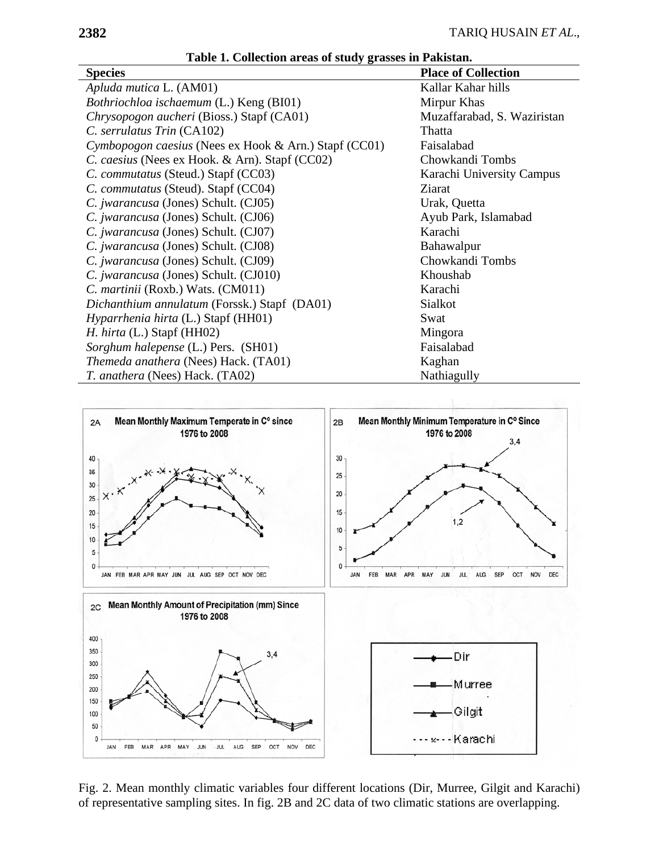| Table 1. Concentral areas of study grasses in I amstan. |                             |
|---------------------------------------------------------|-----------------------------|
| <b>Species</b>                                          | <b>Place of Collection</b>  |
| Apluda mutica L. (AM01)                                 | Kallar Kahar hills          |
| Bothriochloa ischaemum (L.) Keng (BI01)                 | Mirpur Khas                 |
| Chrysopogon aucheri (Bioss.) Stapf (CA01)               | Muzaffarabad, S. Waziristan |
| C. serrulatus Trin (CA102)                              | Thatta                      |
| Cymbopogon caesius (Nees ex Hook & Arn.) Stapf (CC01)   | Faisalabad                  |
| C. caesius (Nees ex Hook. & Arn). Stapf (CC02)          | Chowkandi Tombs             |
| C. commutatus (Steud.) Stapf (CC03)                     | Karachi University Campus   |
| C. commutatus (Steud). Stapf (CC04)                     | Ziarat                      |
| C. jwarancusa (Jones) Schult. (CJ05)                    | Urak, Quetta                |
| C. <i>jwarancusa</i> (Jones) Schult. (CJ06)             | Ayub Park, Islamabad        |
| C. jwarancusa (Jones) Schult. (CJ07)                    | Karachi                     |
| C. jwarancusa (Jones) Schult. (CJ08)                    | Bahawalpur                  |
| C. <i>jwarancusa</i> (Jones) Schult. (CJ09)             | Chowkandi Tombs             |
| C. jwarancusa (Jones) Schult. (CJ010)                   | Khoushab                    |
| C. martinii (Roxb.) Wats. (CM011)                       | Karachi                     |
| Dichanthium annulatum (Forssk.) Stapf (DA01)            | Sialkot                     |
| Hyparrhenia hirta (L.) Stapf (HH01)                     | Swat                        |
| H. hirta (L.) Stapf (HH02)                              | Mingora                     |
| Sorghum halepense (L.) Pers. (SH01)                     | Faisalabad                  |
| Themeda anathera (Nees) Hack. (TA01)                    | Kaghan                      |
| T. anathera (Nees) Hack. (TA02)                         | Nathiagully                 |

**Table 1. Collection areas of study grasses in Pakistan.** 



Fig. 2. Mean monthly climatic variables four different locations (Dir, Murree, Gilgit and Karachi) of representative sampling sites. In fig. 2B and 2C data of two climatic stations are overlapping.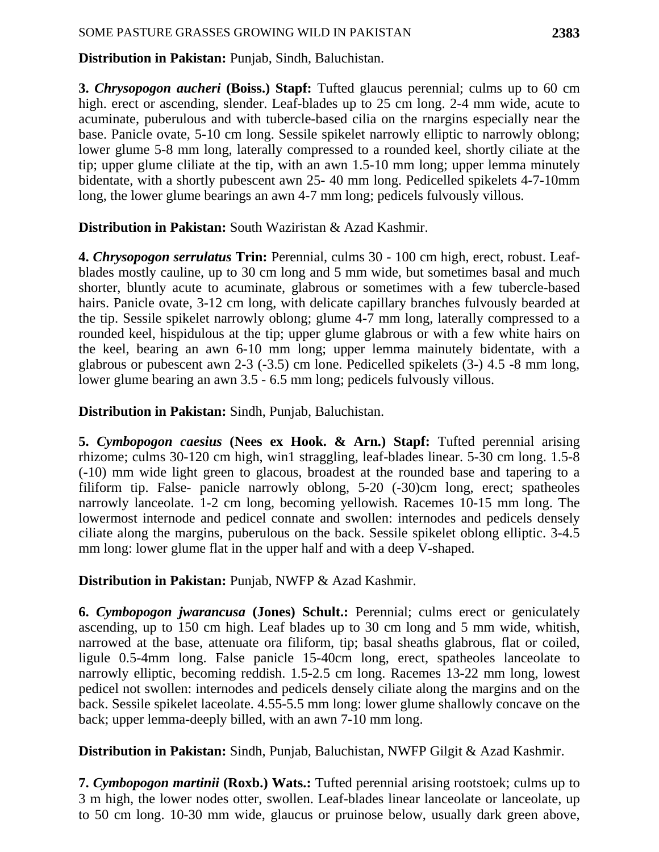**Distribution in Pakistan:** Punjab, Sindh, Baluchistan.

**3.** *Chrysopogon aucheri* **(Boiss.) Stapf:** Tufted glaucus perennial; culms up to 60 cm high. erect or ascending, slender. Leaf-blades up to 25 cm long. 2-4 mm wide, acute to acuminate, puberulous and with tubercle-based cilia on the rnargins especially near the base. Panicle ovate, 5-10 cm long. Sessile spikelet narrowly elliptic to narrowly oblong; lower glume 5-8 mm long, laterally compressed to a rounded keel, shortly ciliate at the tip; upper glume cliliate at the tip, with an awn 1.5-10 mm long; upper lemma minutely bidentate, with a shortly pubescent awn 25- 40 mm long. Pedicelled spikelets 4-7-10mm long, the lower glume bearings an awn 4-7 mm long; pedicels fulvously villous.

**Distribution in Pakistan:** South Waziristan & Azad Kashmir.

**4.** *Chrysopogon serrulatus* **Trin:** Perennial, culms 30 - 100 cm high, erect, robust. Leafblades mostly cauline, up to 30 cm long and 5 mm wide, but sometimes basal and much shorter, bluntly acute to acuminate, glabrous or sometimes with a few tubercle-based hairs. Panicle ovate, 3-12 cm long, with delicate capillary branches fulvously bearded at the tip. Sessile spikelet narrowly oblong; glume 4-7 mm long, laterally compressed to a rounded keel, hispidulous at the tip; upper glume glabrous or with a few white hairs on the keel, bearing an awn 6-10 mm long; upper lemma mainutely bidentate, with a glabrous or pubescent awn 2-3 (-3.5) cm lone. Pedicelled spikelets (3-) 4.5 -8 mm long, lower glume bearing an awn 3.5 - 6.5 mm long; pedicels fulvously villous.

**Distribution in Pakistan:** Sindh, Punjab, Baluchistan.

**5.** *Cymbopogon caesius* **(Nees ex Hook. & Arn.) Stapf:** Tufted perennial arising rhizome; culms 30-120 cm high, win1 straggling, leaf-blades linear. 5-30 cm long. 1.5-8 (-10) mm wide light green to glacous, broadest at the rounded base and tapering to a filiform tip. False- panicle narrowly oblong, 5-20 (-30)cm long, erect; spatheoles narrowly lanceolate. 1-2 cm long, becoming yellowish. Racemes 10-15 mm long. The lowermost internode and pedicel connate and swollen: internodes and pedicels densely ciliate along the margins, puberulous on the back. Sessile spikelet oblong elliptic. 3-4.5 mm long: lower glume flat in the upper half and with a deep V-shaped.

**Distribution in Pakistan:** Punjab, NWFP & Azad Kashmir.

**6.** *Cymbopogon jwarancusa* **(Jones) Schult.:** Perennial; culms erect or geniculately ascending, up to 150 cm high. Leaf blades up to 30 cm long and 5 mm wide, whitish, narrowed at the base, attenuate ora filiform, tip; basal sheaths glabrous, flat or coiled, ligule 0.5-4mm long. False panicle 15-40cm long, erect, spatheoles lanceolate to narrowly elliptic, becoming reddish. 1.5-2.5 cm long. Racemes 13-22 mm long, lowest pedicel not swollen: internodes and pedicels densely ciliate along the margins and on the back. Sessile spikelet laceolate. 4.55-5.5 mm long: lower glume shallowly concave on the back; upper lemma-deeply billed, with an awn 7-10 mm long.

**Distribution in Pakistan:** Sindh, Punjab, Baluchistan, NWFP Gilgit & Azad Kashmir.

**7.** *Cymbopogon martinii* **(Roxb.) Wats.:** Tufted perennial arising rootstoek; culms up to 3 m high, the lower nodes otter, swollen. Leaf-blades linear lanceolate or lanceolate, up to 50 cm long. 10-30 mm wide, glaucus or pruinose below, usually dark green above,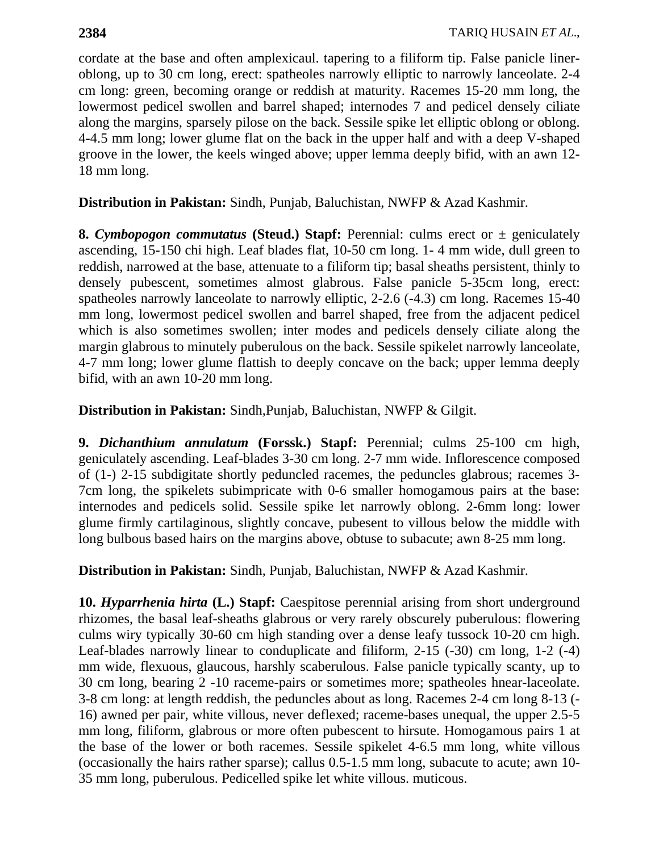cordate at the base and often amplexicaul. tapering to a filiform tip. False panicle lineroblong, up to 30 cm long, erect: spatheoles narrowly elliptic to narrowly lanceolate. 2-4 cm long: green, becoming orange or reddish at maturity. Racemes 15-20 mm long, the lowermost pedicel swollen and barrel shaped; internodes 7 and pedicel densely ciliate along the margins, sparsely pilose on the back. Sessile spike let elliptic oblong or oblong. 4-4.5 mm long; lower glume flat on the back in the upper half and with a deep V-shaped groove in the lower, the keels winged above; upper lemma deeply bifid, with an awn 12- 18 mm long.

**Distribution in Pakistan:** Sindh, Punjab, Baluchistan, NWFP & Azad Kashmir.

**8.** *Cymbopogon commutatus* (Steud.) Stapf: Perennial: culms erect or  $\pm$  geniculately ascending, 15-150 chi high. Leaf blades flat, 10-50 cm long. 1- 4 mm wide, dull green to reddish, narrowed at the base, attenuate to a filiform tip; basal sheaths persistent, thinly to densely pubescent, sometimes almost glabrous. False panicle 5-35cm long, erect: spatheoles narrowly lanceolate to narrowly elliptic, 2-2.6 (-4.3) cm long. Racemes 15-40 mm long, lowermost pedicel swollen and barrel shaped, free from the adjacent pedicel which is also sometimes swollen; inter modes and pedicels densely ciliate along the margin glabrous to minutely puberulous on the back. Sessile spikelet narrowly lanceolate, 4-7 mm long; lower glume flattish to deeply concave on the back; upper lemma deeply bifid, with an awn 10-20 mm long.

**Distribution in Pakistan:** Sindh,Punjab, Baluchistan, NWFP & Gilgit.

**9.** *Dichanthium annulatum* **(Forssk.) Stapf:** Perennial; culms 25-100 cm high, geniculately ascending. Leaf-blades 3-30 cm long. 2-7 mm wide. Inflorescence composed of (1-) 2-15 subdigitate shortly peduncled racemes, the peduncles glabrous; racemes 3- 7cm long, the spikelets subimpricate with 0-6 smaller homogamous pairs at the base: internodes and pedicels solid. Sessile spike let narrowly oblong. 2-6mm long: lower glume firmly cartilaginous, slightly concave, pubesent to villous below the middle with long bulbous based hairs on the margins above, obtuse to subacute; awn 8-25 mm long.

**Distribution in Pakistan:** Sindh, Punjab, Baluchistan, NWFP & Azad Kashmir.

**10.** *Hyparrhenia hirta* (L.) Stapf: Caespitose perennial arising from short underground rhizomes, the basal leaf-sheaths glabrous or very rarely obscurely puberulous: flowering culms wiry typically 30-60 cm high standing over a dense leafy tussock 10-20 cm high. Leaf-blades narrowly linear to conduplicate and filiform, 2-15 (-30) cm long, 1-2 (-4) mm wide, flexuous, glaucous, harshly scaberulous. False panicle typically scanty, up to 30 cm long, bearing 2 -10 raceme-pairs or sometimes more; spatheoles hnear-laceolate. 3-8 cm long: at length reddish, the peduncles about as long. Racemes 2-4 cm long 8-13 (- 16) awned per pair, white villous, never deflexed; raceme-bases unequal, the upper 2.5-5 mm long, filiform, glabrous or more often pubescent to hirsute. Homogamous pairs 1 at the base of the lower or both racemes. Sessile spikelet 4-6.5 mm long, white villous (occasionally the hairs rather sparse); callus 0.5-1.5 mm long, subacute to acute; awn 10- 35 mm long, puberulous. Pedicelled spike let white villous. muticous.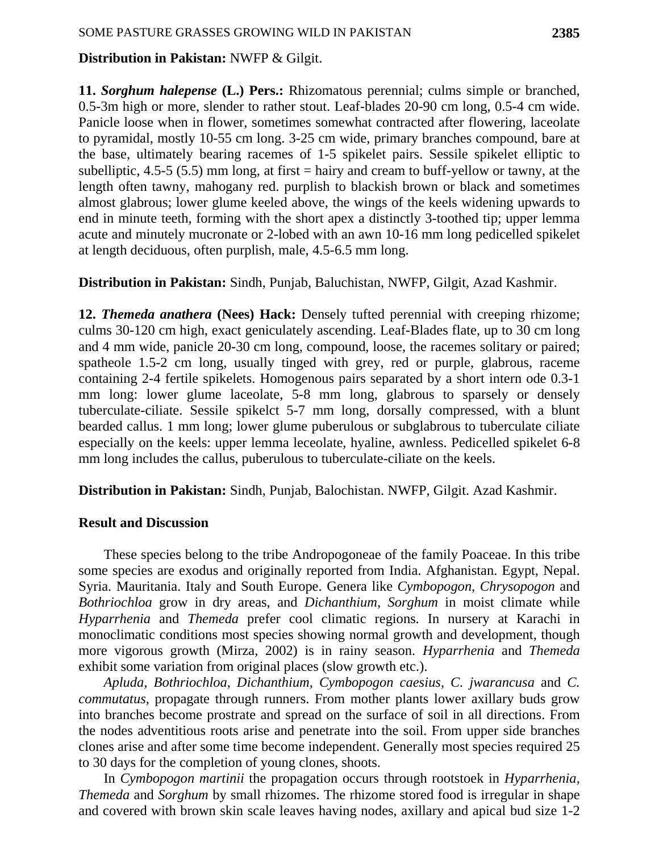## **Distribution in Pakistan:** NWFP & Gilgit.

**11.** *Sorghum halepense* **(L.) Pers.:** Rhizomatous perennial; culms simple or branched, 0.5-3m high or more, slender to rather stout. Leaf-blades 20-90 cm long, 0.5-4 cm wide. Panicle loose when in flower, sometimes somewhat contracted after flowering, laceolate to pyramidal, mostly 10-55 cm long. 3-25 cm wide, primary branches compound, bare at the base, ultimately bearing racemes of 1-5 spikelet pairs. Sessile spikelet elliptic to subelliptic, 4.5-5 (5.5) mm long, at first  $=$  hairy and cream to buff-yellow or tawny, at the length often tawny, mahogany red. purplish to blackish brown or black and sometimes almost glabrous; lower glume keeled above, the wings of the keels widening upwards to end in minute teeth, forming with the short apex a distinctly 3-toothed tip; upper lemma acute and minutely mucronate or 2-lobed with an awn 10-16 mm long pedicelled spikelet at length deciduous, often purplish, male, 4.5-6.5 mm long.

# **Distribution in Pakistan:** Sindh, Punjab, Baluchistan, NWFP, Gilgit, Azad Kashmir.

**12.** *Themeda anathera* **(Nees) Hack:** Densely tufted perennial with creeping rhizome; culms 30-120 cm high, exact geniculately ascending. Leaf-Blades flate, up to 30 cm long and 4 mm wide, panicle 20-30 cm long, compound, loose, the racemes solitary or paired; spatheole 1.5-2 cm long, usually tinged with grey, red or purple, glabrous, raceme containing 2-4 fertile spikelets. Homogenous pairs separated by a short intern ode 0.3-1 mm long: lower glume laceolate, 5-8 mm long, glabrous to sparsely or densely tuberculate-ciliate. Sessile spikelct 5-7 mm long, dorsally compressed, with a blunt bearded callus. 1 mm long; lower glume puberulous or subglabrous to tuberculate ciliate especially on the keels: upper lemma leceolate, hyaline, awnless. Pedicelled spikelet 6-8 mm long includes the callus, puberulous to tuberculate-ciliate on the keels.

**Distribution in Pakistan:** Sindh, Punjab, Balochistan. NWFP, Gilgit. Azad Kashmir.

# **Result and Discussion**

These species belong to the tribe Andropogoneae of the family Poaceae. In this tribe some species are exodus and originally reported from India. Afghanistan. Egypt, Nepal. Syria. Mauritania. Italy and South Europe. Genera like *Cymbopogon, Chrysopogon* and *Bothriochloa* grow in dry areas, and *Dichanthium, Sorghum* in moist climate while *Hyparrhenia* and *Themeda* prefer cool climatic regions. In nursery at Karachi in monoclimatic conditions most species showing normal growth and development, though more vigorous growth (Mirza, 2002) is in rainy season. *Hyparrhenia* and *Themeda*  exhibit some variation from original places (slow growth etc.).

*Apluda, Bothriochloa*, *Dichanthium, Cymbopogon caesius, C. jwarancusa* and *C. commutatus*, propagate through runners. From mother plants lower axillary buds grow into branches become prostrate and spread on the surface of soil in all directions. From the nodes adventitious roots arise and penetrate into the soil. From upper side branches clones arise and after some time become independent. Generally most species required 25 to 30 days for the completion of young clones, shoots.

In *Cymbopogon martinii* the propagation occurs through rootstoek in *Hyparrhenia, Themeda* and *Sorghum* by small rhizomes. The rhizome stored food is irregular in shape and covered with brown skin scale leaves having nodes, axillary and apical bud size 1-2